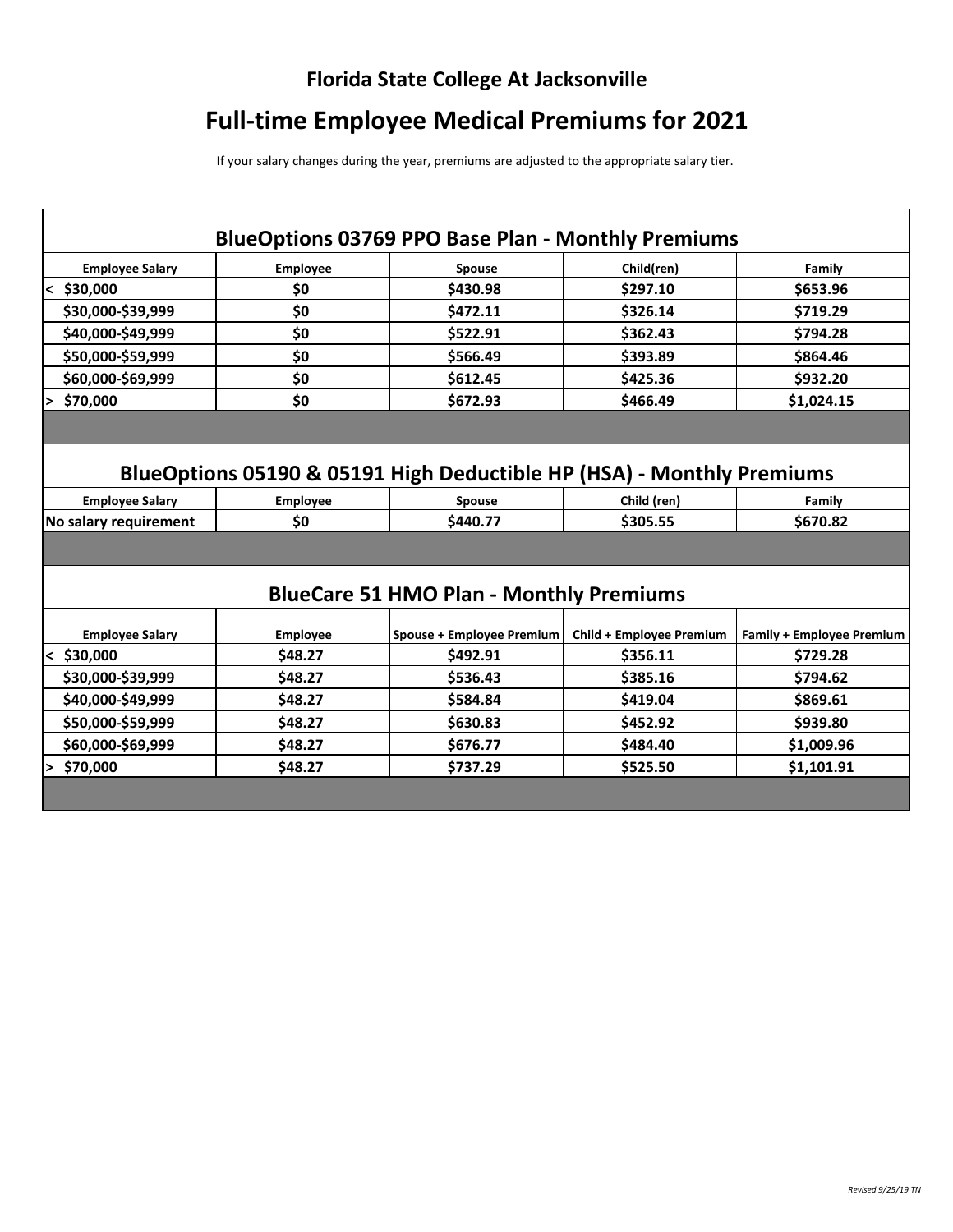## **Florida State College At Jacksonville**

## **Full-time Employee Medical Premiums for 2021**

If your salary changes during the year, premiums are adjusted to the appropriate salary tier.

|                                                                       |                 | <b>BlueOptions 03769 PPO Base Plan - Monthly Premiums</b> |                                 |                                  |  |  |
|-----------------------------------------------------------------------|-----------------|-----------------------------------------------------------|---------------------------------|----------------------------------|--|--|
| <b>Employee Salary</b>                                                | <b>Employee</b> | Spouse                                                    | Child(ren)                      | Family                           |  |  |
| $<$ \$30,000                                                          | \$0             | \$430.98                                                  | \$297.10                        | \$653.96                         |  |  |
| \$30,000-\$39,999                                                     | \$0             | \$472.11                                                  | \$326.14                        | \$719.29                         |  |  |
| \$40,000-\$49,999                                                     | \$0             | \$522.91                                                  | \$362.43                        | \$794.28                         |  |  |
| \$50,000-\$59,999                                                     | \$0             | \$566.49                                                  | \$393.89                        | \$864.46                         |  |  |
| \$60,000-\$69,999                                                     | \$0             | \$612.45                                                  | \$425.36                        | \$932.20                         |  |  |
| \$70,000                                                              | \$0             | \$672.93                                                  | \$466.49                        | \$1,024.15                       |  |  |
|                                                                       |                 |                                                           |                                 |                                  |  |  |
| BlueOptions 05190 & 05191 High Deductible HP (HSA) - Monthly Premiums |                 |                                                           |                                 |                                  |  |  |
| <b>Employee Salary</b>                                                | <b>Employee</b> | Spouse                                                    | Child (ren)                     | Family                           |  |  |
| No salary requirement                                                 | \$0             | \$440.77                                                  | \$305.55                        | \$670.82                         |  |  |
|                                                                       |                 |                                                           |                                 |                                  |  |  |
| <b>BlueCare 51 HMO Plan - Monthly Premiums</b>                        |                 |                                                           |                                 |                                  |  |  |
| <b>Employee Salary</b>                                                | <b>Employee</b> | Spouse + Employee Premium                                 | <b>Child + Employee Premium</b> | <b>Family + Employee Premium</b> |  |  |
| $<$ \$30,000                                                          | \$48.27         | \$492.91                                                  | \$356.11                        | \$729.28                         |  |  |
| \$30,000-\$39,999                                                     | \$48.27         | \$536.43                                                  | \$385.16                        | \$794.62                         |  |  |
| \$40,000-\$49,999                                                     | \$48.27         | \$584.84                                                  | \$419.04                        | \$869.61                         |  |  |
| \$50,000-\$59,999                                                     | \$48.27         | \$630.83                                                  | \$452.92                        | \$939.80                         |  |  |
| \$60,000-\$69,999                                                     | \$48.27         | \$676.77                                                  | \$484.40                        | \$1,009.96                       |  |  |
| \$70,000                                                              | \$48.27         | \$737.29                                                  | \$525.50                        | \$1,101.91                       |  |  |
|                                                                       |                 |                                                           |                                 |                                  |  |  |